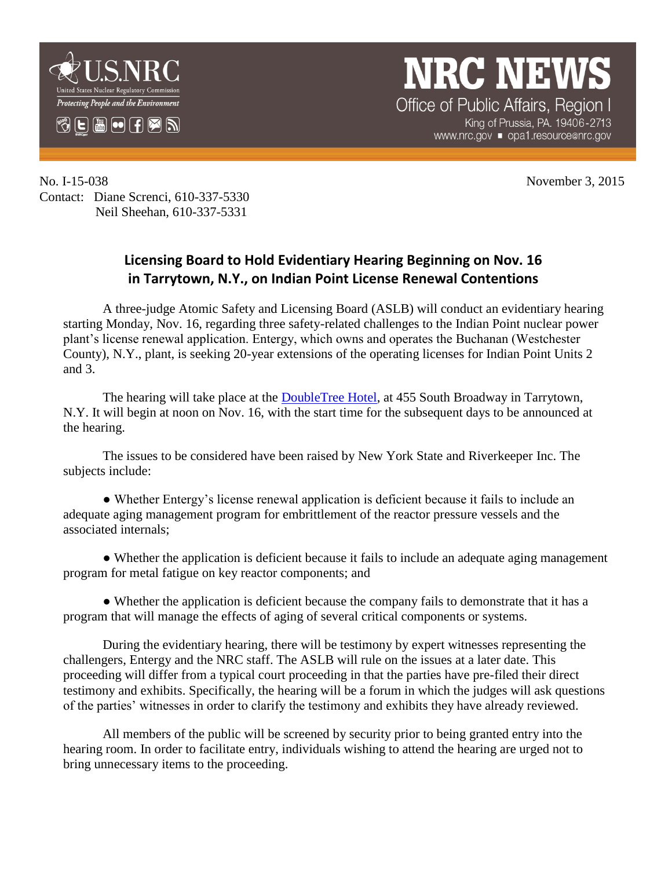

## **NRC NEWS**

Office of Public Affairs, Region I King of Prussia, PA. 19406-2713 www.nrc.gov ■ opa1.resource@nrc.gov

No. I-15-038 November 3, 2015 Contact: Diane Screnci, 610-337-5330 Neil Sheehan, 610-337-5331

## **Licensing Board to Hold Evidentiary Hearing Beginning on Nov. 16 in Tarrytown, N.Y., on Indian Point License Renewal Contentions**

A three-judge Atomic Safety and Licensing Board (ASLB) will conduct an evidentiary hearing starting Monday, Nov. 16, regarding three safety-related challenges to the Indian Point nuclear power plant's license renewal application. Entergy, which owns and operates the Buchanan (Westchester County), N.Y., plant, is seeking 20-year extensions of the operating licenses for Indian Point Units 2 and 3.

The hearing will take place at the [DoubleTree Hotel,](http://doubletree3.hilton.com/en/hotels/new-york/doubletree-by-hilton-hotel-tarrytown-TERHIDT/maps-directions/index.html) at 455 South Broadway in Tarrytown, N.Y. It will begin at noon on Nov. 16, with the start time for the subsequent days to be announced at the hearing.

The issues to be considered have been raised by New York State and Riverkeeper Inc. The subjects include:

● Whether Entergy's license renewal application is deficient because it fails to include an adequate aging management program for embrittlement of the reactor pressure vessels and the associated internals;

• Whether the application is deficient because it fails to include an adequate aging management program for metal fatigue on key reactor components; and

• Whether the application is deficient because the company fails to demonstrate that it has a program that will manage the effects of aging of several critical components or systems.

During the evidentiary hearing, there will be testimony by expert witnesses representing the challengers, Entergy and the NRC staff. The ASLB will rule on the issues at a later date. This proceeding will differ from a typical court proceeding in that the parties have pre-filed their direct testimony and exhibits. Specifically, the hearing will be a forum in which the judges will ask questions of the parties' witnesses in order to clarify the testimony and exhibits they have already reviewed.

All members of the public will be screened by security prior to being granted entry into the hearing room. In order to facilitate entry, individuals wishing to attend the hearing are urged not to bring unnecessary items to the proceeding.